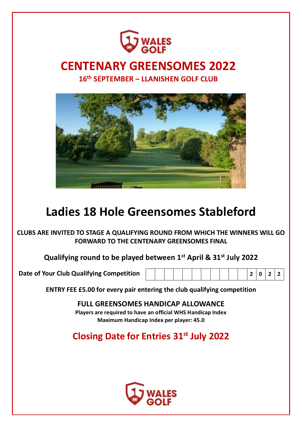

## **CENTENARY GREENSOMES 2022**

**16th SEPTEMBER – LLANISHEN GOLF CLUB**



# **Ladies 18 Hole Greensomes Stableford**

**CLUBS ARE INVITED TO STAGE A QUALIFYING ROUND FROM WHICH THE WINNERS WILL GO FORWARD TO THE CENTENARY GREENSOMES FINAL**

**Qualifying round to be played between 1st April & 31st July 2022**

**Date of Your Club Qualifying Competition 2 0 2 2**

|--|--|--|--|--|--|--|--|--|--|--|--|--|--|--|--|

**ENTRY FEE £5.00 for every pair entering the club qualifying competition** 

**FULL GREENSOMES HANDICAP ALLOWANCE Players are required to have an official WHS Handicap Index Maximum Handicap Index per player: 45.0**

**Closing Date for Entries 31st July 2022**

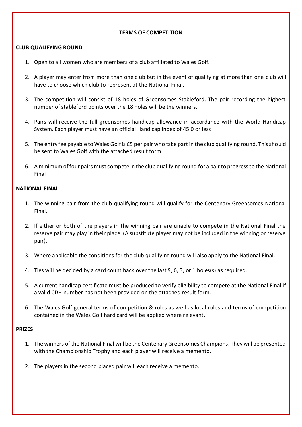#### **TERMS OF COMPETITION**

#### **CLUB QUALIFYING ROUND**

- 1. Open to all women who are members of a club affiliated to Wales Golf.
- 2. A player may enter from more than one club but in the event of qualifying at more than one club will have to choose which club to represent at the National Final.
- 3. The competition will consist of 18 holes of Greensomes Stableford. The pair recording the highest number of stableford points over the 18 holes will be the winners.
- 4. Pairs will receive the full greensomes handicap allowance in accordance with the World Handicap System. Each player must have an official Handicap Index of 45.0 or less
- 5. The entry fee payable to Wales Golf is £5 per pair who take part in the club qualifying round. This should be sent to Wales Golf with the attached result form.
- 6. A minimum of four pairs must compete in the club qualifying round for a pair to progress to the National Final

#### **NATIONAL FINAL**

- 1. The winning pair from the club qualifying round will qualify for the Centenary Greensomes National Final.
- 2. If either or both of the players in the winning pair are unable to compete in the National Final the reserve pair may play in their place. (A substitute player may not be included in the winning or reserve pair).
- 3. Where applicable the conditions for the club qualifying round will also apply to the National Final.
- 4. Ties will be decided by a card count back over the last 9, 6, 3, or 1 holes(s) as required.
- 5. A current handicap certificate must be produced to verify eligibility to compete at the National Final if a valid CDH number has not been provided on the attached result form.
- 6. The Wales Golf general terms of competition & rules as well as local rules and terms of competition contained in the Wales Golf hard card will be applied where relevant.

#### **PRIZES**

- 1. The winners of the National Final will be the Centenary Greensomes Champions. They will be presented with the Championship Trophy and each player will receive a memento.
- 2. The players in the second placed pair will each receive a memento.